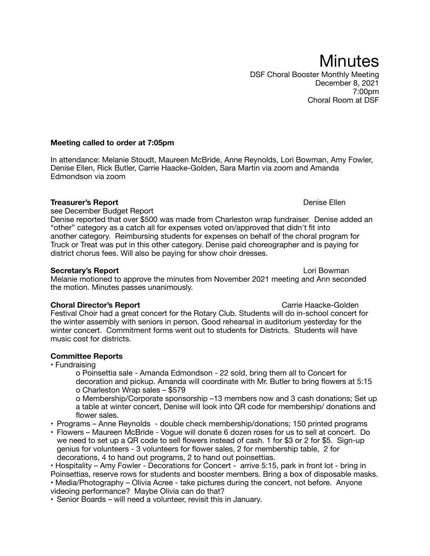**Minutes** DSF Choral Booster Monthly Meeting December 8, 2021 7:00pm Choral Room at DSF

# **Meeting called to order at 7:05pm**

In attendance: Melanie Stoudt, Maureen McBride, Anne Reynolds, Lori Bowman, Amy Fowler, Denise Ellen, Rick Butler, Carrie Haacke-Golden, Sara Martin via zoom and Amanda Edmondson via zoom

# **Treasurer's Report** *CONDERGALLER <b>CONDERGALLER CONDERGALLER CONDERGALLER CONDERGALLER Denise Ellen*

see December Budget Report

Denise reported that over \$500 was made from Charleston wrap fundraiser. Denise added an "other" category as a catch all for expenses voted on/approved that didn't fit into another category. Reimbursing students for expenses on behalf of the choral program for Truck or Treat was put in this other category. Denise paid choreographer and is paying for district chorus fees. Will also be paying for show choir dresses.

# **Secretary's Report CONFIDENTIAL CONFIDENTIAL CONFIDENTIAL CONFIDENTIAL CONFIDENTIAL CONFIDENTIAL CONFIDENTIAL CONFIDENTIAL CONFIDENTIAL CONFIDENTIAL CONFIDENTIAL CONFIDENTIAL CONFIDENTIAL CONFIDENTIAL CONFIDENTIAL CONFI**

Melanie motioned to approve the minutes from November 2021 meeting and Ann seconded the motion. Minutes passes unanimously.

### **Choral Director's Report** Carrie Haacke-Golden

Festival Choir had a great concert for the Rotary Club. Students will do in-school concert for the winter assembly with seniors in person. Good rehearsal in auditorium yesterday for the winter concert. Commitment forms went out to students for Districts. Students will have music cost for districts.

# **Committee Reports**

• Fundraising

o Poinsettia sale - Amanda Edmondson - 22 sold, bring them all to Concert for decoration and pickup. Amanda will coordinate with Mr. Butler to bring flowers at 5:15 o Charleston Wrap sales – \$579

o Membership/Corporate sponsorship –13 members now and 3 cash donations; Set up a table at winter concert, Denise will look into QR code for membership/ donations and flower sales.

- Programs Anne Reynolds double check membership/donations; 150 printed programs
- Flowers Maureen McBride Vogue will donate 6 dozen roses for us to sell at concert. Do we need to set up a QR code to sell flowers instead of cash. 1 for \$3 or 2 for \$5. Sign-up genius for volunteers - 3 volunteers for flower sales, 2 for membership table, 2 for decorations, 4 to hand out programs, 2 to hand out poinsettias.

• Hospitality – Amy Fowler - Decorations for Concert - arrive 5:15, park in front lot - bring in Poinsettias, reserve rows for students and booster members. Bring a box of disposable masks.

• Media/Photography – Olivia Acree - take pictures during the concert, not before. Anyone videoing performance? Maybe Olivia can do that?

• Senior Boards – will need a volunteer, revisit this in January.